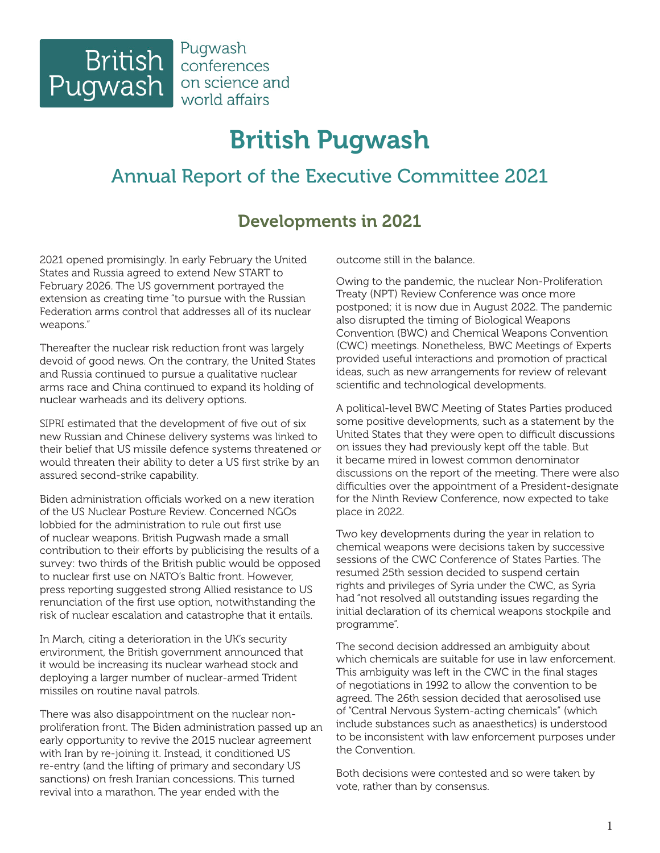

# British Pugwash

# Annual Report of the Executive Committee 2021

# Developments in 2021

2021 opened promisingly. In early February the United States and Russia agreed to extend New START to February 2026. The US government portrayed the extension as creating time "to pursue with the Russian Federation arms control that addresses all of its nuclear weapons."

Thereafter the nuclear risk reduction front was largely devoid of good news. On the contrary, the United States and Russia continued to pursue a qualitative nuclear arms race and China continued to expand its holding of nuclear warheads and its delivery options.

SIPRI estimated that the development of five out of six new Russian and Chinese delivery systems was linked to their belief that US missile defence systems threatened or would threaten their ability to deter a US first strike by an assured second-strike capability.

Biden administration officials worked on a new iteration of the US Nuclear Posture Review. Concerned NGOs lobbied for the administration to rule out first use of nuclear weapons. British Pugwash made a small contribution to their efforts by publicising the results of a survey: two thirds of the British public would be opposed to nuclear first use on NATO's Baltic front. However, press reporting suggested strong Allied resistance to US renunciation of the first use option, notwithstanding the risk of nuclear escalation and catastrophe that it entails.

In March, citing a deterioration in the UK's security environment, the British government announced that it would be increasing its nuclear warhead stock and deploying a larger number of nuclear-armed Trident missiles on routine naval patrols.

There was also disappointment on the nuclear nonproliferation front. The Biden administration passed up an early opportunity to revive the 2015 nuclear agreement with Iran by re-joining it. Instead, it conditioned US re-entry (and the lifting of primary and secondary US sanctions) on fresh Iranian concessions. This turned revival into a marathon. The year ended with the

outcome still in the balance.

Owing to the pandemic, the nuclear Non-Proliferation Treaty (NPT) Review Conference was once more postponed; it is now due in August 2022. The pandemic also disrupted the timing of Biological Weapons Convention (BWC) and Chemical Weapons Convention (CWC) meetings. Nonetheless, BWC Meetings of Experts provided useful interactions and promotion of practical ideas, such as new arrangements for review of relevant scientific and technological developments.

A political-level BWC Meeting of States Parties produced some positive developments, such as a statement by the United States that they were open to difficult discussions on issues they had previously kept off the table. But it became mired in lowest common denominator discussions on the report of the meeting. There were also difficulties over the appointment of a President-designate for the Ninth Review Conference, now expected to take place in 2022.

Two key developments during the year in relation to chemical weapons were decisions taken by successive sessions of the CWC Conference of States Parties. The resumed 25th session decided to suspend certain rights and privileges of Syria under the CWC, as Syria had "not resolved all outstanding issues regarding the initial declaration of its chemical weapons stockpile and programme".

The second decision addressed an ambiguity about which chemicals are suitable for use in law enforcement. This ambiguity was left in the CWC in the final stages of negotiations in 1992 to allow the convention to be agreed. The 26th session decided that aerosolised use of "Central Nervous System-acting chemicals" (which include substances such as anaesthetics) is understood to be inconsistent with law enforcement purposes under the Convention.

Both decisions were contested and so were taken by vote, rather than by consensus.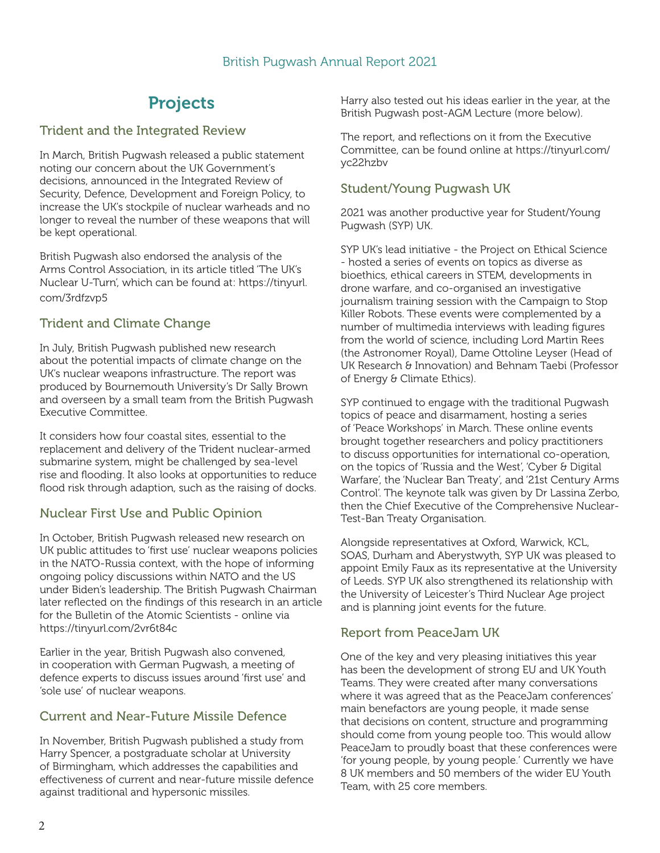# **Projects**

#### Trident and the Integrated Review

In March, British Pugwash released a public statement noting our concern about the UK Government's decisions, announced in the Integrated Review of Security, Defence, Development and Foreign Policy, to increase the UK's stockpile of nuclear warheads and no longer to reveal the number of these weapons that will be kept operational.

British Pugwash also endorsed the analysis of the Arms Control Association, in its article titled 'The UK's Nuclear U-Turn', which can be found at: https://tinyurl. com/3rdfzvp5

#### Trident and Climate Change

In July, British Pugwash published new research about the potential impacts of climate change on the UK's nuclear weapons infrastructure. The report was produced by Bournemouth University's Dr Sally Brown and overseen by a small team from the British Pugwash Executive Committee.

It considers how four coastal sites, essential to the replacement and delivery of the Trident nuclear-armed submarine system, might be challenged by sea-level rise and flooding. It also looks at opportunities to reduce flood risk through adaption, such as the raising of docks.

#### Nuclear First Use and Public Opinion

In October, British Pugwash released new research on UK public attitudes to 'first use' nuclear weapons policies in the NATO-Russia context, with the hope of informing ongoing policy discussions within NATO and the US under Biden's leadership. The British Pugwash Chairman later reflected on the findings of this research in an article for the Bulletin of the Atomic Scientists - online via https://tinyurl.com/2vr6t84c

Earlier in the year, British Pugwash also convened, in cooperation with German Pugwash, a meeting of defence experts to discuss issues around 'first use' and 'sole use' of nuclear weapons.

#### Current and Near-Future Missile Defence

In November, British Pugwash published a study from Harry Spencer, a postgraduate scholar at University of Birmingham, which addresses the capabilities and effectiveness of current and near-future missile defence against traditional and hypersonic missiles.

Harry also tested out his ideas earlier in the year, at the British Pugwash post-AGM Lecture (more below).

The report, and reflections on it from the Executive Committee, can be found online at https://tinyurl.com/ yc22hzbv

#### Student/Young Pugwash UK

2021 was another productive year for Student/Young Pugwash (SYP) UK.

SYP UK's lead initiative - the Project on Ethical Science - hosted a series of events on topics as diverse as bioethics, ethical careers in STEM, developments in drone warfare, and co-organised an investigative journalism training session with the Campaign to Stop Killer Robots. These events were complemented by a number of multimedia interviews with leading figures from the world of science, including Lord Martin Rees (the Astronomer Royal), Dame Ottoline Leyser (Head of UK Research & Innovation) and Behnam Taebi (Professor of Energy & Climate Ethics).

SYP continued to engage with the traditional Pugwash topics of peace and disarmament, hosting a series of 'Peace Workshops' in March. These online events brought together researchers and policy practitioners to discuss opportunities for international co-operation, on the topics of 'Russia and the West', 'Cyber & Digital Warfare', the 'Nuclear Ban Treaty', and '21st Century Arms Control'. The keynote talk was given by Dr Lassina Zerbo, then the Chief Executive of the Comprehensive Nuclear-Test-Ban Treaty Organisation.

Alongside representatives at Oxford, Warwick, KCL, SOAS, Durham and Aberystwyth, SYP UK was pleased to appoint Emily Faux as its representative at the University of Leeds. SYP UK also strengthened its relationship with the University of Leicester's Third Nuclear Age project and is planning joint events for the future.

#### Report from PeaceJam UK

One of the key and very pleasing initiatives this year has been the development of strong EU and UK Youth Teams. They were created after many conversations where it was agreed that as the PeaceJam conferences' main benefactors are young people, it made sense that decisions on content, structure and programming should come from young people too. This would allow PeaceJam to proudly boast that these conferences were 'for young people, by young people.' Currently we have 8 UK members and 50 members of the wider EU Youth Team, with 25 core members.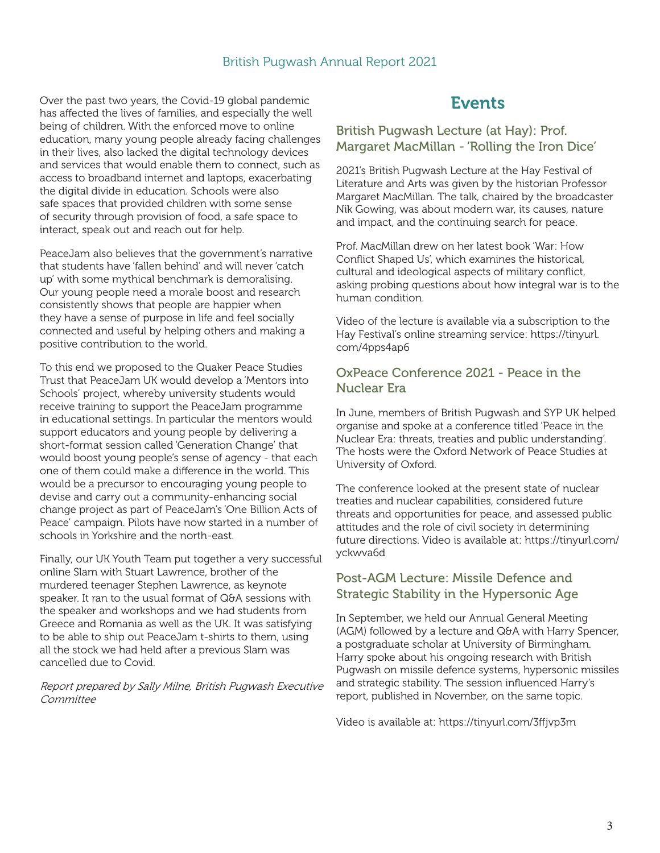Over the past two years, the Covid-19 global pandemic has affected the lives of families, and especially the well being of children. With the enforced move to online education, many young people already facing challenges in their lives, also lacked the digital technology devices and services that would enable them to connect, such as access to broadband internet and laptops, exacerbating the digital divide in education. Schools were also safe spaces that provided children with some sense of security through provision of food, a safe space to interact, speak out and reach out for help.

PeaceJam also believes that the government's narrative that students have 'fallen behind' and will never 'catch up' with some mythical benchmark is demoralising. Our young people need a morale boost and research consistently shows that people are happier when they have a sense of purpose in life and feel socially connected and useful by helping others and making a positive contribution to the world.

To this end we proposed to the Quaker Peace Studies Trust that PeaceJam UK would develop a 'Mentors into Schools' project, whereby university students would receive training to support the PeaceJam programme in educational settings. In particular the mentors would support educators and young people by delivering a short-format session called 'Generation Change' that would boost young people's sense of agency - that each one of them could make a difference in the world. This would be a precursor to encouraging young people to devise and carry out a community-enhancing social change project as part of PeaceJam's 'One Billion Acts of Peace' campaign. Pilots have now started in a number of schools in Yorkshire and the north-east.

Finally, our UK Youth Team put together a very successful online Slam with Stuart Lawrence, brother of the murdered teenager Stephen Lawrence, as keynote speaker. It ran to the usual format of Q&A sessions with the speaker and workshops and we had students from Greece and Romania as well as the UK. It was satisfying to be able to ship out PeaceJam t-shirts to them, using all the stock we had held after a previous Slam was cancelled due to Covid.

Report prepared by Sally Milne, British Pugwash Executive **Committee** 

### Events

#### British Pugwash Lecture (at Hay): Prof. Margaret MacMillan - 'Rolling the Iron Dice'

2021's British Pugwash Lecture at the Hay Festival of Literature and Arts was given by the historian Professor Margaret MacMillan. The talk, chaired by the broadcaster Nik Gowing, was about modern war, its causes, nature and impact, and the continuing search for peace.

Prof. MacMillan drew on her latest book 'War: How Conflict Shaped Us', which examines the historical, cultural and ideological aspects of military conflict, asking probing questions about how integral war is to the human condition.

Video of the lecture is available via a subscription to the Hay Festival's online streaming service: https://tinyurl. com/4pps4ap6

#### OxPeace Conference 2021 - Peace in the Nuclear Era

In June, members of British Pugwash and SYP UK helped organise and spoke at a conference titled 'Peace in the Nuclear Era: threats, treaties and public understanding'. The hosts were the Oxford Network of Peace Studies at University of Oxford.

The conference looked at the present state of nuclear treaties and nuclear capabilities, considered future threats and opportunities for peace, and assessed public attitudes and the role of civil society in determining future directions. Video is available at: https://tinyurl.com/ yckwva6d

#### Post-AGM Lecture: Missile Defence and Strategic Stability in the Hypersonic Age

In September, we held our Annual General Meeting (AGM) followed by a lecture and Q&A with Harry Spencer, a postgraduate scholar at University of Birmingham. Harry spoke about his ongoing research with British Pugwash on missile defence systems, hypersonic missiles and strategic stability. The session influenced Harry's report, published in November, on the same topic.

Video is available at: https://tinyurl.com/3ffjvp3m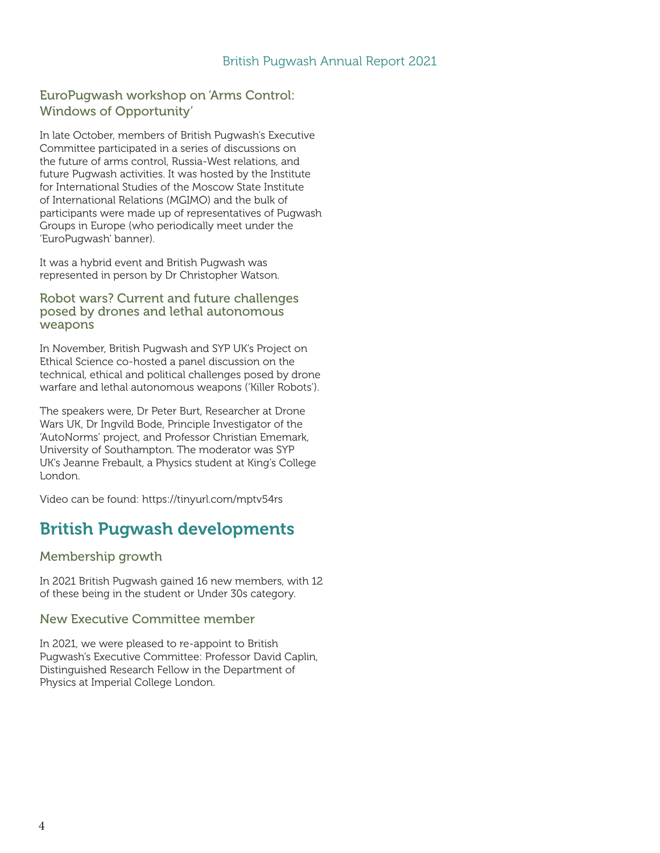#### EuroPugwash workshop on 'Arms Control: Windows of Opportunity'

In late October, members of British Pugwash's Executive Committee participated in a series of discussions on the future of arms control, Russia-West relations, and future Pugwash activities. It was hosted by the Institute for International Studies of the Moscow State Institute of International Relations (MGIMO) and the bulk of participants were made up of representatives of Pugwash Groups in Europe (who periodically meet under the 'EuroPugwash' banner).

It was a hybrid event and British Pugwash was represented in person by Dr Christopher Watson.

#### Robot wars? Current and future challenges posed by drones and lethal autonomous weapons

In November, British Pugwash and SYP UK's Project on Ethical Science co-hosted a panel discussion on the technical, ethical and political challenges posed by drone warfare and lethal autonomous weapons ('Killer Robots').

The speakers were, Dr Peter Burt, Researcher at Drone Wars UK, Dr Ingvild Bode, Principle Investigator of the 'AutoNorms' project, and Professor Christian Ememark, University of Southampton. The moderator was SYP UK's Jeanne Frebault, a Physics student at King's College London.

Video can be found: https://tinyurl.com/mptv54rs

# British Pugwash developments

Membership growth

In 2021 British Pugwash gained 16 new members, with 12 of these being in the student or Under 30s category.

#### New Executive Committee member

In 2021, we were pleased to re-appoint to British Pugwash's Executive Committee: Professor David Caplin, Distinguished Research Fellow in the Department of Physics at Imperial College London.